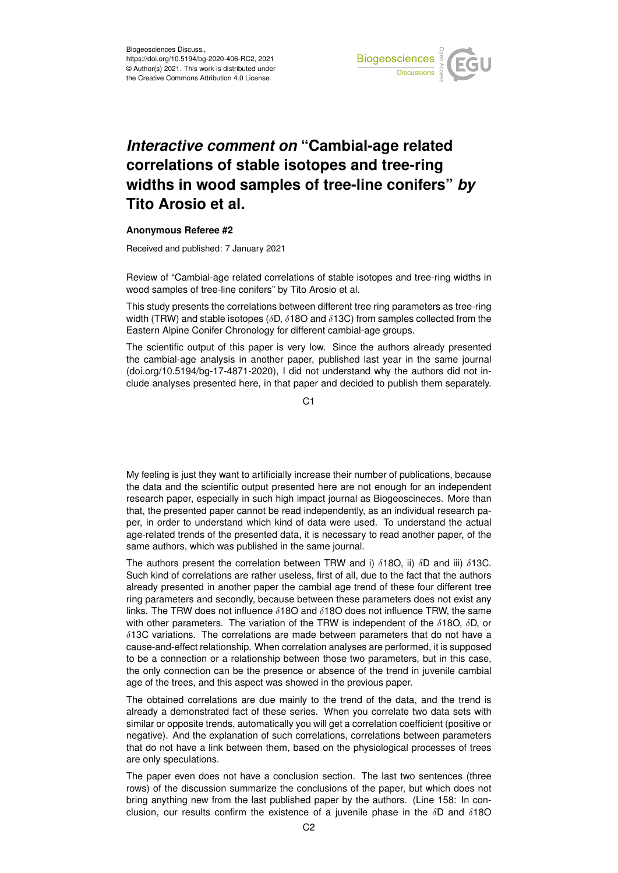

## *Interactive comment on* **"Cambial-age related correlations of stable isotopes and tree-ring widths in wood samples of tree-line conifers"** *by* **Tito Arosio et al.**

## **Anonymous Referee #2**

Received and published: 7 January 2021

Review of "Cambial-age related correlations of stable isotopes and tree-ring widths in wood samples of tree-line conifers" by Tito Arosio et al.

This study presents the correlations between different tree ring parameters as tree-ring width (TRW) and stable isotopes ( $\delta$ D,  $\delta$ 18O and  $\delta$ 13C) from samples collected from the Eastern Alpine Conifer Chronology for different cambial-age groups.

The scientific output of this paper is very low. Since the authors already presented the cambial-age analysis in another paper, published last year in the same journal (doi.org/10.5194/bg-17-4871-2020), I did not understand why the authors did not include analyses presented here, in that paper and decided to publish them separately.

C1

My feeling is just they want to artificially increase their number of publications, because the data and the scientific output presented here are not enough for an independent research paper, especially in such high impact journal as Biogeoscineces. More than that, the presented paper cannot be read independently, as an individual research paper, in order to understand which kind of data were used. To understand the actual age-related trends of the presented data, it is necessary to read another paper, of the same authors, which was published in the same journal.

The authors present the correlation between TRW and i)  $\delta$ 18O, ii)  $\delta$ D and iii)  $\delta$ 13C. Such kind of correlations are rather useless, first of all, due to the fact that the authors already presented in another paper the cambial age trend of these four different tree ring parameters and secondly, because between these parameters does not exist any links. The TRW does not influence  $\delta$ 180 and  $\delta$ 180 does not influence TRW, the same with other parameters. The variation of the TRW is independent of the  $\delta$ 18O,  $\delta$ D, or  $\delta$ 13C variations. The correlations are made between parameters that do not have a cause-and-effect relationship. When correlation analyses are performed, it is supposed to be a connection or a relationship between those two parameters, but in this case, the only connection can be the presence or absence of the trend in juvenile cambial age of the trees, and this aspect was showed in the previous paper.

The obtained correlations are due mainly to the trend of the data, and the trend is already a demonstrated fact of these series. When you correlate two data sets with similar or opposite trends, automatically you will get a correlation coefficient (positive or negative). And the explanation of such correlations, correlations between parameters that do not have a link between them, based on the physiological processes of trees are only speculations.

The paper even does not have a conclusion section. The last two sentences (three rows) of the discussion summarize the conclusions of the paper, but which does not bring anything new from the last published paper by the authors. (Line 158: In conclusion, our results confirm the existence of a juvenile phase in the  $\delta D$  and  $\delta 180$